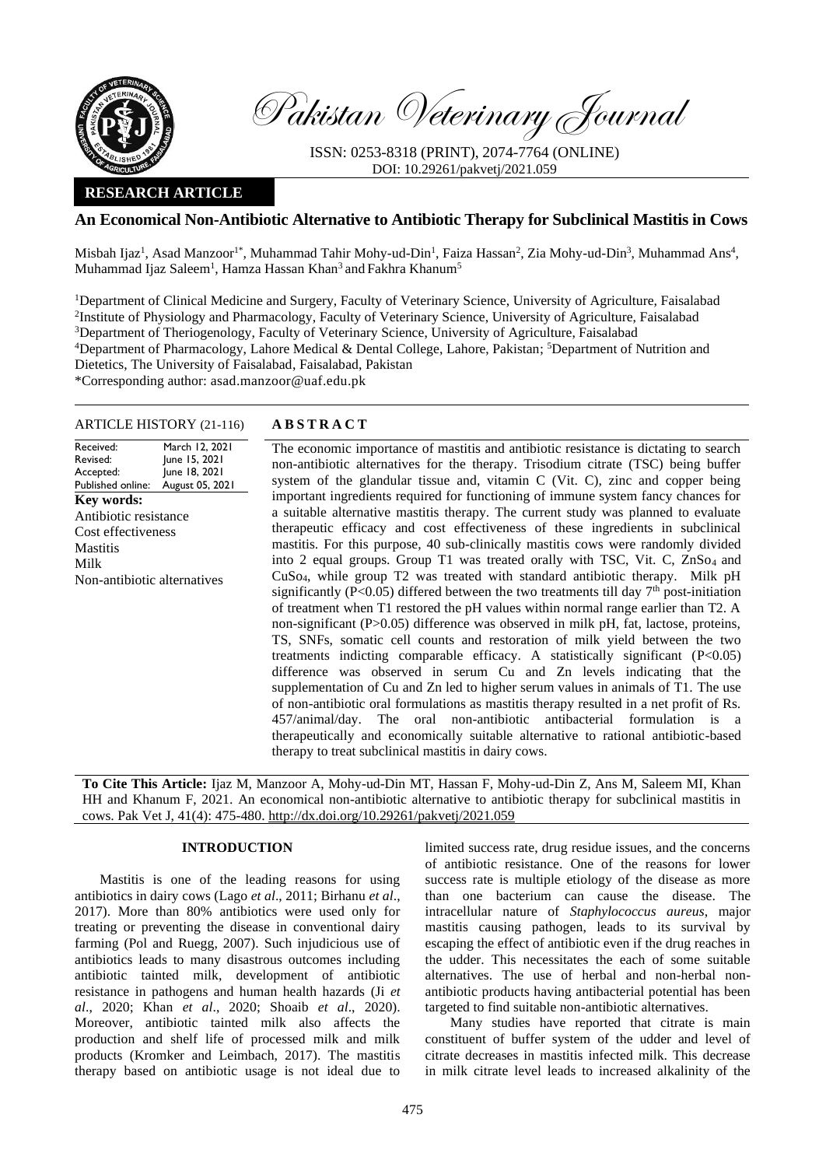

Pakistan Veterinary Journal

ISSN: 0253-8318 (PRINT), 2074-7764 (ONLINE) DOI: 10.29261/pakvetj/2021.059

# **RESEARCH ARTICLE**

# **An Economical Non-Antibiotic Alternative to Antibiotic Therapy for Subclinical Mastitis in Cows**

Misbah Ijaz<sup>1</sup>, Asad Manzoor<sup>1\*</sup>, Muhammad Tahir Mohy-ud-Din<sup>1</sup>, Faiza Hassan<sup>2</sup>, Zia Mohy-ud-Din<sup>3</sup>, Muhammad Ans<sup>4</sup>, Muhammad Ijaz Saleem<sup>1</sup>, Hamza Hassan Khan<sup>3</sup> and Fakhra Khanum<sup>5</sup>

<sup>1</sup>Department of Clinical Medicine and Surgery, Faculty of Veterinary Science, University of Agriculture, Faisalabad <sup>2</sup>Institute of Physiology and Pharmacology, Faculty of Veterinary Science, University of Agriculture, Faisalabad <sup>3</sup>Department of Theriogenology, Faculty of Veterinary Science, University of Agriculture, Faisalabad <sup>4</sup>Department of Pharmacology, Lahore Medical & Dental College, Lahore, Pakistan; <sup>5</sup>Department of Nutrition and Dietetics, The University of Faisalabad, Faisalabad, Pakistan \*Corresponding author: asad.manzoor@uaf.edu.pk

# ARTICLE HISTORY (21-116) **A B S T R A C T**

Received: Revised: Accepted: Published online: March 12, 2021 June 15, 2021 June 18, 2021 August 05, 2021 **Key words:**  Antibiotic resistance Cost effectiveness **Mastitis** Milk Non-antibiotic alternatives

The economic importance of mastitis and antibiotic resistance is dictating to search non-antibiotic alternatives for the therapy. Trisodium citrate (TSC) being buffer system of the glandular tissue and, vitamin C (Vit. C), zinc and copper being important ingredients required for functioning of immune system fancy chances for a suitable alternative mastitis therapy. The current study was planned to evaluate therapeutic efficacy and cost effectiveness of these ingredients in subclinical mastitis. For this purpose, 40 sub-clinically mastitis cows were randomly divided into 2 equal groups. Group T1 was treated orally with TSC, Vit. C, ZnSo<sub>4</sub> and CuSo4, while group T2 was treated with standard antibiotic therapy. Milk pH significantly (P<0.05) differed between the two treatments till day  $7<sup>th</sup>$  post-initiation of treatment when T1 restored the pH values within normal range earlier than T2. A non-significant (P>0.05) difference was observed in milk pH, fat, lactose, proteins, TS, SNFs, somatic cell counts and restoration of milk yield between the two treatments indicting comparable efficacy. A statistically significant (P<0.05) difference was observed in serum Cu and Zn levels indicating that the supplementation of Cu and Zn led to higher serum values in animals of T1. The use of non-antibiotic oral formulations as mastitis therapy resulted in a net profit of Rs. 457/animal/day. The oral non-antibiotic antibacterial formulation is a therapeutically and economically suitable alternative to rational antibiotic-based therapy to treat subclinical mastitis in dairy cows.

**To Cite This Article:** Ijaz M, Manzoor A, Mohy-ud-Din MT, Hassan F, Mohy-ud-Din Z, Ans M, Saleem MI, Khan HH and Khanum F, 2021. An economical non-antibiotic alternative to antibiotic therapy for subclinical mastitis in cows. Pak Vet J, 41(4): 475-480[. http://dx.doi.org/10.29261/pakvetj/2021.059](http://pvj.com.pk/pdf-files/41_4/475-480.pdf)

## **INTRODUCTION**

Mastitis is one of the leading reasons for using antibiotics in dairy cows (Lago *et al*., 2011; Birhanu *et al*., 2017). More than 80% antibiotics were used only for treating or preventing the disease in conventional dairy farming (Pol and Ruegg, 2007). Such injudicious use of antibiotics leads to many disastrous outcomes including antibiotic tainted milk, development of antibiotic resistance in pathogens and human health hazards (Ji *et al*., 2020; Khan *et al*., 2020; Shoaib *et al*., 2020). Moreover, antibiotic tainted milk also affects the production and shelf life of processed milk and milk products (Kromker and Leimbach, 2017). The mastitis therapy based on antibiotic usage is not ideal due to

limited success rate, drug residue issues, and the concerns of antibiotic resistance. One of the reasons for lower success rate is multiple etiology of the disease as more than one bacterium can cause the disease. The intracellular nature of *Staphylococcus aureus*, major mastitis causing pathogen, leads to its survival by escaping the effect of antibiotic even if the drug reaches in the udder. This necessitates the each of some suitable alternatives. The use of herbal and non-herbal nonantibiotic products having antibacterial potential has been targeted to find suitable non-antibiotic alternatives.

Many studies have reported that citrate is main constituent of buffer system of the udder and level of citrate decreases in mastitis infected milk. This decrease in milk citrate level leads to increased alkalinity of the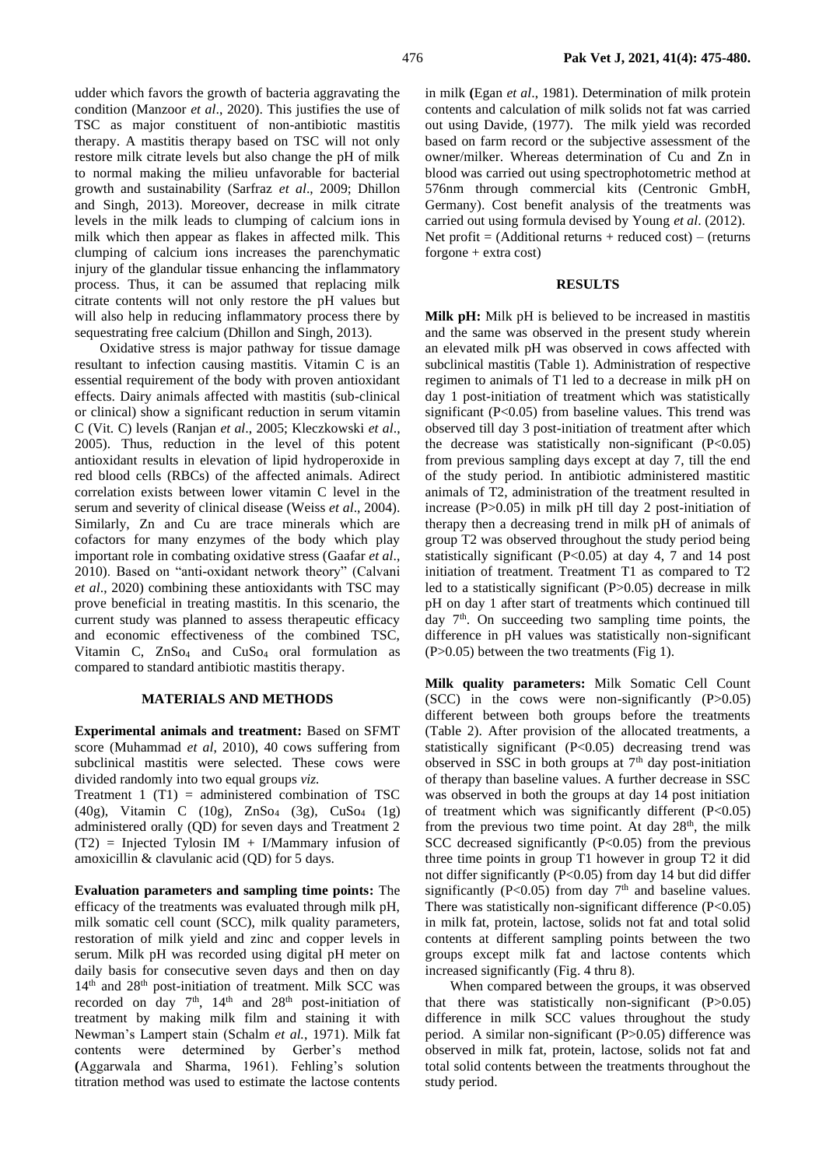udder which favors the growth of bacteria aggravating the condition (Manzoor *et al*., 2020). This justifies the use of TSC as major constituent of non-antibiotic mastitis therapy. A mastitis therapy based on TSC will not only restore milk citrate levels but also change the pH of milk to normal making the milieu unfavorable for bacterial growth and sustainability (Sarfraz *et al*., 2009; Dhillon and Singh, 2013). Moreover, decrease in milk citrate levels in the milk leads to clumping of calcium ions in milk which then appear as flakes in affected milk. This clumping of calcium ions increases the parenchymatic injury of the glandular tissue enhancing the inflammatory process. Thus, it can be assumed that replacing milk citrate contents will not only restore the pH values but will also help in reducing inflammatory process there by sequestrating free calcium (Dhillon and Singh, 2013).

Oxidative stress is major pathway for tissue damage resultant to infection causing mastitis. Vitamin C is an essential requirement of the body with proven antioxidant effects. Dairy animals affected with mastitis (sub-clinical or clinical) show a significant reduction in serum vitamin C (Vit. C) levels (Ranjan *et al*., 2005; Kleczkowski *et al*., 2005). Thus, reduction in the level of this potent antioxidant results in elevation of lipid hydroperoxide in red blood cells (RBCs) of the affected animals. Adirect correlation exists between lower vitamin C level in the serum and severity of clinical disease (Weiss *et al*., 2004). Similarly, Zn and Cu are trace minerals which are cofactors for many enzymes of the body which play important role in combating oxidative stress (Gaafar *et al*., 2010). Based on "anti-oxidant network theory" (Calvani *et al*., 2020) combining these antioxidants with TSC may prove beneficial in treating mastitis. In this scenario, the current study was planned to assess therapeutic efficacy and economic effectiveness of the combined TSC, Vitamin C, ZnSo<sub>4</sub> and CuSo<sub>4</sub> oral formulation as compared to standard antibiotic mastitis therapy.

#### **MATERIALS AND METHODS**

**Experimental animals and treatment:** Based on SFMT score (Muhammad *et al*, 2010), 40 cows suffering from subclinical mastitis were selected. These cows were divided randomly into two equal groups *viz.*

Treatment 1 (T1) = administered combination of TSC (40g), Vitamin C (10g), ZnSo<sup>4</sup> (3g), CuSo<sup>4</sup> (1g) administered orally (QD) for seven days and Treatment 2  $(T2)$  = Injected Tylosin IM + I/Mammary infusion of amoxicillin & clavulanic acid (QD) for 5 days.

**Evaluation parameters and sampling time points:** The efficacy of the treatments was evaluated through milk pH, milk somatic cell count (SCC), milk quality parameters, restoration of milk yield and zinc and copper levels in serum. Milk pH was recorded using digital pH meter on daily basis for consecutive seven days and then on day 14<sup>th</sup> and 28<sup>th</sup> post-initiation of treatment. Milk SCC was recorded on day  $7<sup>th</sup>$ ,  $14<sup>th</sup>$  and  $28<sup>th</sup>$  post-initiation of treatment by making milk film and staining it with Newman's Lampert stain (Schalm *et al.*, 1971). Milk fat contents were determined by Gerber's method **(**Aggarwala and Sharma, 1961). Fehling's solution titration method was used to estimate the lactose contents

in milk **(**Egan *et al*., 1981). Determination of milk protein contents and calculation of milk solids not fat was carried out using Davide, (1977). The milk yield was recorded based on farm record or the subjective assessment of the owner/milker. Whereas determination of Cu and Zn in blood was carried out using spectrophotometric method at 576nm through commercial kits (Centronic GmbH, Germany). Cost benefit analysis of the treatments was carried out using formula devised by Young *et al*. (2012). Net profit  $=$  (Additional returns + reduced cost) – (returns forgone + extra cost)

### **RESULTS**

**Milk pH:** Milk pH is believed to be increased in mastitis and the same was observed in the present study wherein an elevated milk pH was observed in cows affected with subclinical mastitis (Table 1). Administration of respective regimen to animals of T1 led to a decrease in milk pH on day 1 post-initiation of treatment which was statistically significant (P<0.05) from baseline values. This trend was observed till day 3 post-initiation of treatment after which the decrease was statistically non-significant  $(P<0.05)$ from previous sampling days except at day 7, till the end of the study period. In antibiotic administered mastitic animals of T2, administration of the treatment resulted in increase (P>0.05) in milk pH till day 2 post-initiation of therapy then a decreasing trend in milk pH of animals of group T2 was observed throughout the study period being statistically significant (P<0.05) at day 4, 7 and 14 post initiation of treatment. Treatment T1 as compared to T2 led to a statistically significant (P>0.05) decrease in milk pH on day 1 after start of treatments which continued till day  $7<sup>th</sup>$ . On succeeding two sampling time points, the difference in pH values was statistically non-significant  $(P>0.05)$  between the two treatments (Fig 1).

**Milk quality parameters:** Milk Somatic Cell Count (SCC) in the cows were non-significantly  $(P>0.05)$ different between both groups before the treatments (Table 2). After provision of the allocated treatments, a statistically significant (P<0.05) decreasing trend was observed in SSC in both groups at  $7<sup>th</sup>$  day post-initiation of therapy than baseline values. A further decrease in SSC was observed in both the groups at day 14 post initiation of treatment which was significantly different (P<0.05) from the previous two time point. At day  $28<sup>th</sup>$ , the milk SCC decreased significantly  $(P<0.05)$  from the previous three time points in group T1 however in group T2 it did not differ significantly (P<0.05) from day 14 but did differ significantly (P<0.05) from day  $7<sup>th</sup>$  and baseline values. There was statistically non-significant difference  $(P<0.05)$ in milk fat, protein, lactose, solids not fat and total solid contents at different sampling points between the two groups except milk fat and lactose contents which increased significantly (Fig. 4 thru 8).

When compared between the groups, it was observed that there was statistically non-significant  $(P>0.05)$ difference in milk SCC values throughout the study period.A similar non-significant (P>0.05) difference was observed in milk fat, protein, lactose, solids not fat and total solid contents between the treatments throughout the study period.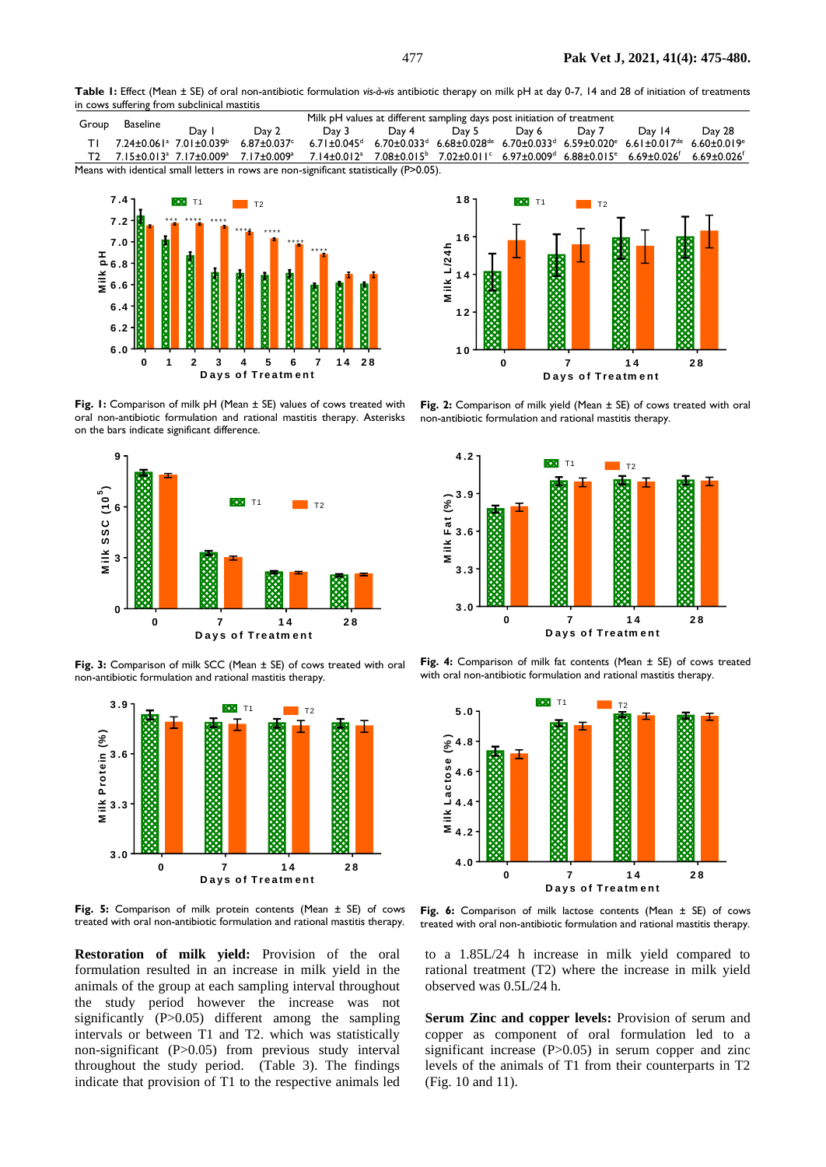**Table 1:** Effect (Mean ± SE) of oral non-antibiotic formulation *vis-à-vis* antibiotic therapy on milk pH at day 0-7, 14 and 28 of initiation of treatments in cows suffering from subclinical mastitis

| Group                                                                                     | Baseline | Milk pH values at different sampling days post initiation of treatment |                                                                                                                                                                                                                                                    |       |       |       |       |       |                                                                                                                                                                                                                     |        |
|-------------------------------------------------------------------------------------------|----------|------------------------------------------------------------------------|----------------------------------------------------------------------------------------------------------------------------------------------------------------------------------------------------------------------------------------------------|-------|-------|-------|-------|-------|---------------------------------------------------------------------------------------------------------------------------------------------------------------------------------------------------------------------|--------|
|                                                                                           |          | Day                                                                    | Day 2                                                                                                                                                                                                                                              | Day 3 | Day 4 | Day 5 | Day 6 | Day 7 | Day 14                                                                                                                                                                                                              | Day 28 |
|                                                                                           |          |                                                                        | $7.24 \pm 0.061^{\circ}$ $7.01 \pm 0.039^{\circ}$ 6.87 $\pm 0.037^{\circ}$                                                                                                                                                                         |       |       |       |       |       | $6.71 \pm 0.045$ <sup>d</sup> $6.70 \pm 0.033$ <sup>d</sup> $6.68 \pm 0.028$ <sup>de</sup> $6.70 \pm 0.033$ <sup>d</sup> $6.59 \pm 0.020$ <sup>e</sup> $6.61 \pm 0.017$ <sup>de</sup> $6.60 \pm 0.019$ <sup>e</sup> |        |
|                                                                                           |          |                                                                        | T2 7.15±0.013 <sup>a</sup> 7.17±0.009 <sup>a</sup> 7.17±0.009 <sup>a</sup> 7.14±0.012 <sup>a</sup> 7.08±0.015 <sup>b</sup> 7.02±0.011 <sup>c</sup> 6.97±0.009 <sup>d</sup> 6.88±0.015 <sup>e</sup> 6.69±0.026 <sup>f</sup> 6.69±0.026 <sup>f</sup> |       |       |       |       |       |                                                                                                                                                                                                                     |        |
| Means with identical small letters in rows are non-significant statistically $(P>0.05)$ . |          |                                                                        |                                                                                                                                                                                                                                                    |       |       |       |       |       |                                                                                                                                                                                                                     |        |



**Fig. 1:** Comparison of milk pH (Mean ± SE) values of cows treated with oral non-antibiotic formulation and rational mastitis therapy. Asterisks on the bars indicate significant difference.



**Fig. 3:** Comparison of milk SCC (Mean ± SE) of cows treated with oral non-antibiotic formulation and rational mastitis therapy.



**Fig. 5:** Comparison of milk protein contents (Mean ± SE) of cows treated with oral non-antibiotic formulation and rational mastitis therapy.

**Restoration of milk yield:** Provision of the oral formulation resulted in an increase in milk yield in the animals of the group at each sampling interval throughout the study period however the increase was not significantly (P>0.05) different among the sampling intervals or between T1 and T2. which was statistically non-significant (P>0.05) from previous study interval throughout the study period. (Table 3). The findings indicate that provision of T1 to the respective animals led



**Fig. 2:** Comparison of milk yield (Mean ± SE) of cows treated with oral non-antibiotic formulation and rational mastitis therapy.



**Fig. 4:** Comparison of milk fat contents (Mean ± SE) of cows treated with oral non-antibiotic formulation and rational mastitis therapy.



**Fig. 6:** Comparison of milk lactose contents (Mean ± SE) of cows treated with oral non-antibiotic formulation and rational mastitis therapy.

to a 1.85L/24 h increase in milk yield compared to rational treatment (T2) where the increase in milk yield observed was 0.5L/24 h.

**Serum Zinc and copper levels:** Provision of serum and copper as component of oral formulation led to a significant increase (P>0.05) in serum copper and zinc levels of the animals of T1 from their counterparts in T2 (Fig. 10 and 11).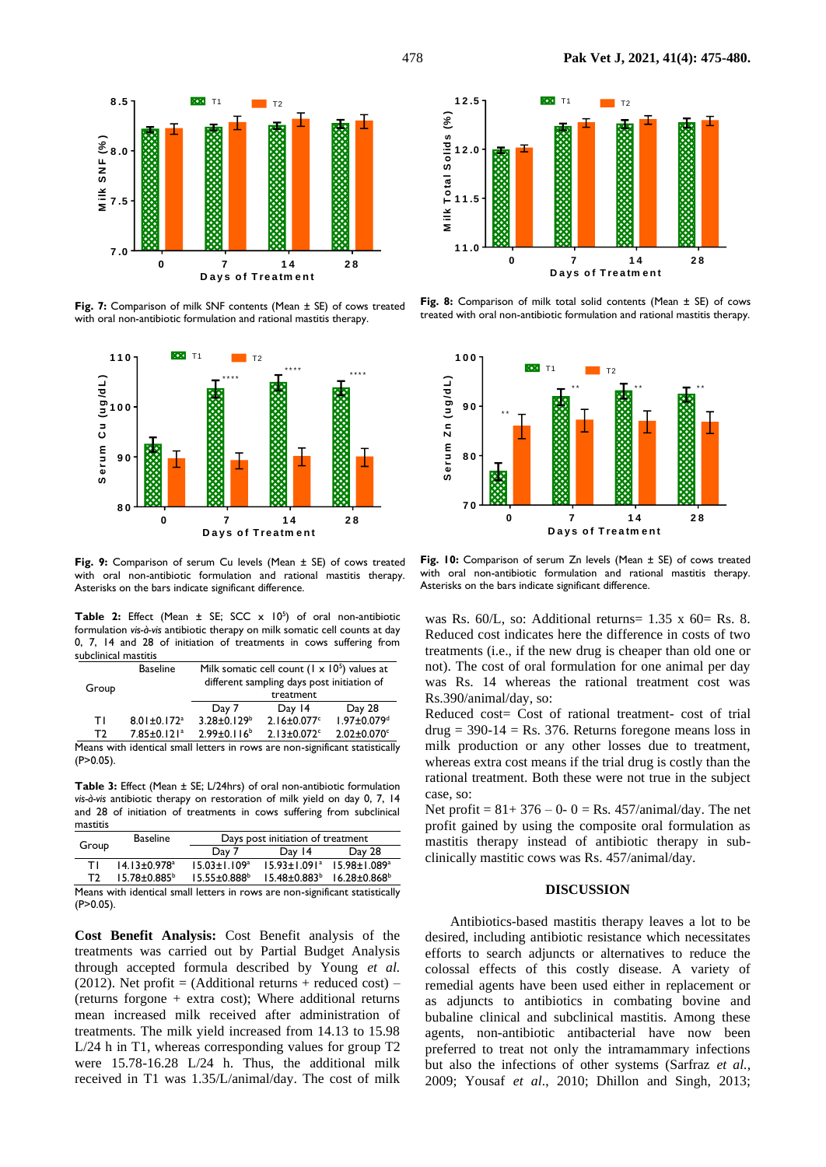

Fig. 7: Comparison of milk SNF contents (Mean ± SE) of cows treated with oral non-antibiotic formulation and rational mastitis therapy.



**Fig. 9:** Comparison of serum Cu levels (Mean ± SE) of cows treated with oral non-antibiotic formulation and rational mastitis therapy. Asterisks on the bars indicate significant difference.

**Table 2:** Effect (Mean  $\pm$  SE; SCC  $\times$  10<sup>5</sup>) of oral non-antibiotic formulation *vis-à-vis* antibiotic therapy on milk somatic cell counts at day 0, 7, 14 and 28 of initiation of treatments in cows suffering from subclinical mastitis

| Group | <b>Baseline</b>               | Milk somatic cell count $(1 \times 10^5)$ values at<br>different sampling days post initiation of<br>treatment |                               |                               |  |  |
|-------|-------------------------------|----------------------------------------------------------------------------------------------------------------|-------------------------------|-------------------------------|--|--|
|       |                               | Day 7                                                                                                          | Day $14$                      | Day 28                        |  |  |
| ΤI    | $8.01 \pm 0.172$ <sup>a</sup> | $3.28 \pm 0.129$ <sup>b</sup>                                                                                  | $2.16 \pm 0.077$ <sup>c</sup> | 1.97±0.079 <sup>d</sup>       |  |  |
| T)    | $7.85 \pm 0.121$ <sup>a</sup> | $2.99 \pm 0.116^b$                                                                                             | $2.13 \pm 0.072$ <sup>c</sup> | $2.02 \pm 0.070$ <sup>c</sup> |  |  |

Means with identical small letters in rows are non-significant statistically  $(P>0.05)$ .

**Table 3:** Effect (Mean ± SE; L/24hrs) of oral non-antibiotic formulation *vis-à-vis* antibiotic therapy on restoration of milk yield on day 0, 7, 14 and 28 of initiation of treatments in cows suffering from subclinical mastitis

|       | <b>Baseline</b>                | Days post initiation of treatment |                                         |                              |  |  |
|-------|--------------------------------|-----------------------------------|-----------------------------------------|------------------------------|--|--|
| Group |                                | Day 7                             | Day 14                                  | Day 28                       |  |  |
| т١    | $14.13 \pm 0.978$ <sup>a</sup> | $15.03 + 1.109a$                  | $15.93 \pm 1.091$ <sup>a</sup>          | $15.98 + 1.089$ <sup>a</sup> |  |  |
| T)    | $15.78 \pm 0.885^{\circ}$      | $15.55 \pm 0.888$ <sup>b</sup>    | $15.48 \pm 0.883^b$ $16.28 \pm 0.868^b$ |                              |  |  |

Means with identical small letters in rows are non-significant statistically  $(P>0.05)$ .

**Cost Benefit Analysis:** Cost Benefit analysis of the treatments was carried out by Partial Budget Analysis through accepted formula described by Young *et al.*  (2012). Net profit = (Additional returns + reduced cost) – (returns forgone + extra cost); Where additional returns mean increased milk received after administration of treatments. The milk yield increased from 14.13 to 15.98 L/24 h in T1, whereas corresponding values for group T2 were 15.78-16.28 L/24 h. Thus, the additional milk received in T1 was 1.35/L/animal/day. The cost of milk



**Fig. 8:** Comparison of milk total solid contents (Mean ± SE) of cows treated with oral non-antibiotic formulation and rational mastitis therapy.



**Fig. 10:** Comparison of serum Zn levels (Mean ± SE) of cows treated with oral non-antibiotic formulation and rational mastitis therapy. Asterisks on the bars indicate significant difference.

was Rs.  $60/L$ , so: Additional returns= 1.35 x  $60 =$  Rs. 8. Reduced cost indicates here the difference in costs of two treatments (i.e., if the new drug is cheaper than old one or not). The cost of oral formulation for one animal per day was Rs. 14 whereas the rational treatment cost was Rs.390/animal/day, so:

Reduced cost= Cost of rational treatment- cost of trial  $drug = 390-14 = Rs. 376. Returns for egone means loss in$ milk production or any other losses due to treatment, whereas extra cost means if the trial drug is costly than the rational treatment. Both these were not true in the subject case, so:

Net profit =  $81+376-0-0=$  Rs. 457/animal/day. The net profit gained by using the composite oral formulation as mastitis therapy instead of antibiotic therapy in subclinically mastitic cows was Rs. 457/animal/day.

#### **DISCUSSION**

Antibiotics-based mastitis therapy leaves a lot to be desired, including antibiotic resistance which necessitates efforts to search adjuncts or alternatives to reduce the colossal effects of this costly disease. A variety of remedial agents have been used either in replacement or as adjuncts to antibiotics in combating bovine and bubaline clinical and subclinical mastitis. Among these agents, non-antibiotic antibacterial have now been preferred to treat not only the intramammary infections but also the infections of other systems (Sarfraz *et al.,*  2009; Yousaf *et al*., 2010; Dhillon and Singh, 2013;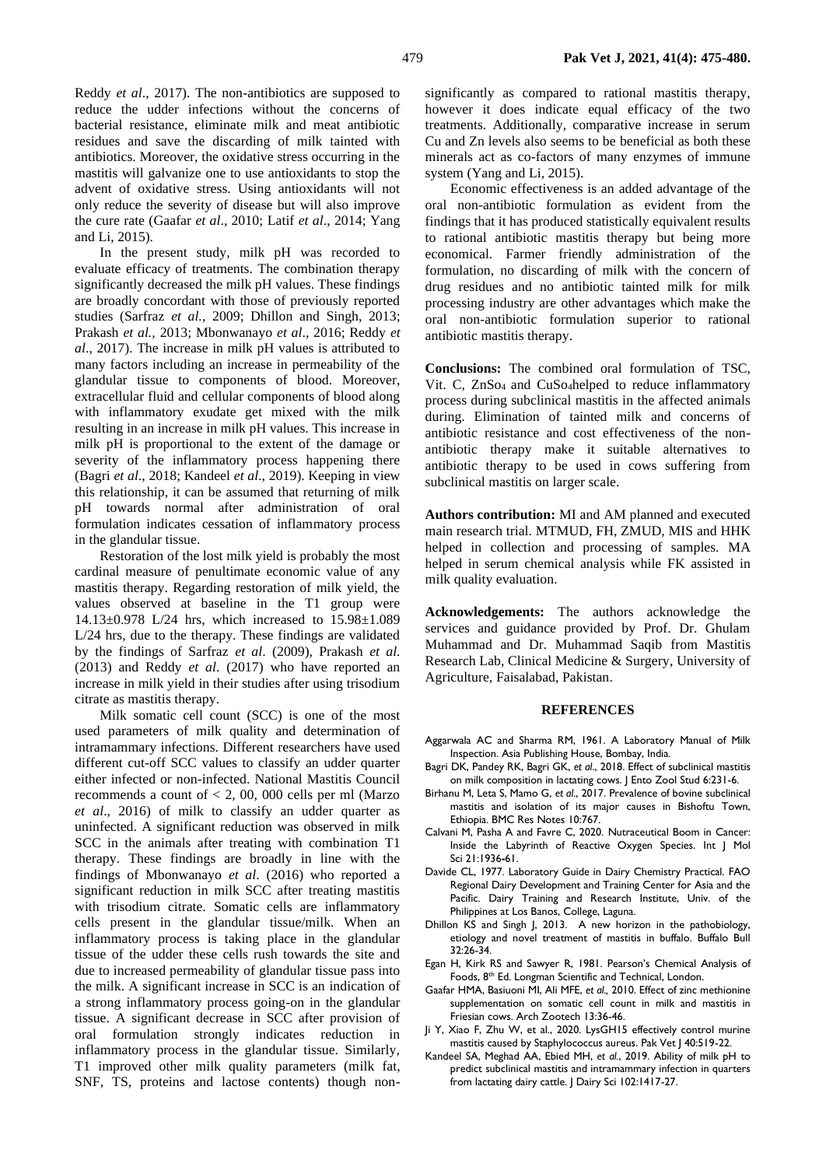Reddy *et al*., 2017). The non-antibiotics are supposed to reduce the udder infections without the concerns of bacterial resistance, eliminate milk and meat antibiotic residues and save the discarding of milk tainted with antibiotics. Moreover, the oxidative stress occurring in the mastitis will galvanize one to use antioxidants to stop the advent of oxidative stress. Using antioxidants will not only reduce the severity of disease but will also improve the cure rate (Gaafar *et al*., 2010; Latif *et al*., 2014; Yang and Li, 2015).

In the present study, milk pH was recorded to evaluate efficacy of treatments. The combination therapy significantly decreased the milk pH values. These findings are broadly concordant with those of previously reported studies (Sarfraz *et al.,* 2009; Dhillon and Singh, 2013; Prakash *et al.,* 2013; Mbonwanayo *et al*., 2016; Reddy *et al*., 2017). The increase in milk pH values is attributed to many factors including an increase in permeability of the glandular tissue to components of blood. Moreover, extracellular fluid and cellular components of blood along with inflammatory exudate get mixed with the milk resulting in an increase in milk pH values. This increase in milk pH is proportional to the extent of the damage or severity of the inflammatory process happening there (Bagri *et al*., 2018; Kandeel *et al*., 2019). Keeping in view this relationship, it can be assumed that returning of milk pH towards normal after administration of oral formulation indicates cessation of inflammatory process in the glandular tissue.

Restoration of the lost milk yield is probably the most cardinal measure of penultimate economic value of any mastitis therapy. Regarding restoration of milk yield, the values observed at baseline in the T1 group were 14.13±0.978 L/24 hrs, which increased to 15.98±1.089 L/24 hrs, due to the therapy. These findings are validated by the findings of Sarfraz *et al*. (2009), Prakash *et al.* (2013) and Reddy *et al*. (2017) who have reported an increase in milk yield in their studies after using trisodium citrate as mastitis therapy.

Milk somatic cell count (SCC) is one of the most used parameters of milk quality and determination of intramammary infections. Different researchers have used different cut-off SCC values to classify an udder quarter either infected or non-infected. National Mastitis Council recommends a count of < 2, 00, 000 cells per ml (Marzo *et al*., 2016) of milk to classify an udder quarter as uninfected. A significant reduction was observed in milk SCC in the animals after treating with combination T1 therapy. These findings are broadly in line with the findings of Mbonwanayo *et al*. (2016) who reported a significant reduction in milk SCC after treating mastitis with trisodium citrate. Somatic cells are inflammatory cells present in the glandular tissue/milk. When an inflammatory process is taking place in the glandular tissue of the udder these cells rush towards the site and due to increased permeability of glandular tissue pass into the milk. A significant increase in SCC is an indication of a strong inflammatory process going-on in the glandular tissue. A significant decrease in SCC after provision of oral formulation strongly indicates reduction in inflammatory process in the glandular tissue. Similarly, T1 improved other milk quality parameters (milk fat, SNF, TS, proteins and lactose contents) though nonsignificantly as compared to rational mastitis therapy, however it does indicate equal efficacy of the two treatments. Additionally, comparative increase in serum Cu and Zn levels also seems to be beneficial as both these minerals act as co-factors of many enzymes of immune system (Yang and Li, 2015).

Economic effectiveness is an added advantage of the oral non-antibiotic formulation as evident from the findings that it has produced statistically equivalent results to rational antibiotic mastitis therapy but being more economical. Farmer friendly administration of the formulation, no discarding of milk with the concern of drug residues and no antibiotic tainted milk for milk processing industry are other advantages which make the oral non-antibiotic formulation superior to rational antibiotic mastitis therapy.

**Conclusions:** The combined oral formulation of TSC, Vit. C, ZnSo<sub>4</sub> and CuSo<sub>4</sub>helped to reduce inflammatory process during subclinical mastitis in the affected animals during. Elimination of tainted milk and concerns of antibiotic resistance and cost effectiveness of the nonantibiotic therapy make it suitable alternatives to antibiotic therapy to be used in cows suffering from subclinical mastitis on larger scale.

**Authors contribution:** MI and AM planned and executed main research trial. MTMUD, FH, ZMUD, MIS and HHK helped in collection and processing of samples. MA helped in serum chemical analysis while FK assisted in milk quality evaluation.

**Acknowledgements:** The authors acknowledge the services and guidance provided by Prof. Dr. Ghulam Muhammad and Dr. Muhammad Saqib from Mastitis Research Lab, Clinical Medicine & Surgery, University of Agriculture, Faisalabad, Pakistan.

## **REFERENCES**

- Aggarwala AC and Sharma RM, 1961. A Laboratory Manual of Milk Inspection. Asia Publishing House, Bombay, India.
- Bagri DK, Pandey RK, Bagri GK, *et al*., 2018. Effect of subclinical mastitis on milk composition in lactating cows. J Ento Zool Stud 6:231-6.
- Birhanu M, Leta S, Mamo G, *et al*., 2017. Prevalence of bovine subclinical mastitis and isolation of its major causes in Bishoftu Town, Ethiopia. BMC Res Notes 10:767.
- Calvani M, Pasha A and Favre C, 2020. Nutraceutical Boom in Cancer: Inside the Labyrinth of Reactive Oxygen Species. Int J Mol Sci 21:1936**-**61.
- Davide CL, 1977. Laboratory Guide in Dairy Chemistry Practical. FAO Regional Dairy Development and Training Center for Asia and the Pacific. Dairy Training and Research Institute, Univ. of the Philippines at Los Banos, College, Laguna.
- Dhillon KS and Singh J, 2013. A new horizon in the pathobiology, etiology and novel treatment of mastitis in buffalo. Buffalo Bull 32:26-34.
- Egan H, Kirk RS and Sawyer R, 1981. Pearson's Chemical Analysis of Foods, 8<sup>th</sup> Ed. Longman Scientific and Technical, London.
- Gaafar HMA, Basiuoni MI, Ali MFE, *et al.,* 2010. Effect of zinc methionine supplementation on somatic cell count in milk and mastitis in Friesian cows. Arch Zootech 13:36-46.
- Ji Y, Xiao F, Zhu W, et al., 2020. LysGH15 effectively control murine mastitis caused by Staphylococcus aureus. Pak Vet | 40:519-22.
- Kandeel SA, Meghad AA, Ebied MH, *et al.*, 2019. Ability of milk pH to predict subclinical mastitis and intramammary infection in quarters from lactating dairy cattle. J Dairy Sci 102:1417-27.